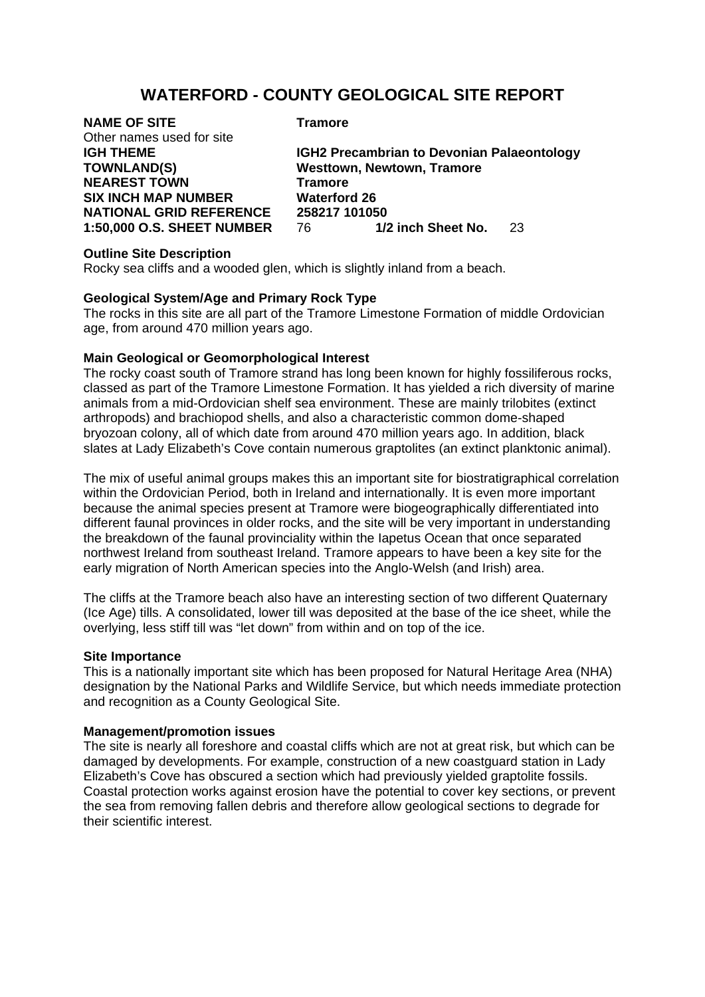# **WATERFORD - COUNTY GEOLOGICAL SITE REPORT**

| <b>NAME OF SITE</b>            | <b>Tramore</b>                                    |
|--------------------------------|---------------------------------------------------|
| Other names used for site      |                                                   |
| IGH THEME                      | <b>IGH2 Precambrian to Devonian Palaeontology</b> |
| <b>TOWNLAND(S)</b>             | <b>Westtown, Newtown, Tramore</b>                 |
| <b>NEAREST TOWN</b>            | <b>Tramore</b>                                    |
| <b>SIX INCH MAP NUMBER</b>     | <b>Waterford 26</b>                               |
| <b>NATIONAL GRID REFERENCE</b> | 258217 101050                                     |
| 1:50,000 O.S. SHEET NUMBER     | 1/2 inch Sheet No.<br>76.<br>23                   |
|                                |                                                   |

## **Outline Site Description**

Rocky sea cliffs and a wooded glen, which is slightly inland from a beach.

## **Geological System/Age and Primary Rock Type**

The rocks in this site are all part of the Tramore Limestone Formation of middle Ordovician age, from around 470 million years ago.

## **Main Geological or Geomorphological Interest**

The rocky coast south of Tramore strand has long been known for highly fossiliferous rocks, classed as part of the Tramore Limestone Formation. It has yielded a rich diversity of marine animals from a mid-Ordovician shelf sea environment. These are mainly trilobites (extinct arthropods) and brachiopod shells, and also a characteristic common dome-shaped bryozoan colony, all of which date from around 470 million years ago. In addition, black slates at Lady Elizabeth's Cove contain numerous graptolites (an extinct planktonic animal).

The mix of useful animal groups makes this an important site for biostratigraphical correlation within the Ordovician Period, both in Ireland and internationally. It is even more important because the animal species present at Tramore were biogeographically differentiated into different faunal provinces in older rocks, and the site will be very important in understanding the breakdown of the faunal provinciality within the Iapetus Ocean that once separated northwest Ireland from southeast Ireland. Tramore appears to have been a key site for the early migration of North American species into the Anglo-Welsh (and Irish) area.

The cliffs at the Tramore beach also have an interesting section of two different Quaternary (Ice Age) tills. A consolidated, lower till was deposited at the base of the ice sheet, while the overlying, less stiff till was "let down" from within and on top of the ice.

## **Site Importance**

This is a nationally important site which has been proposed for Natural Heritage Area (NHA) designation by the National Parks and Wildlife Service, but which needs immediate protection and recognition as a County Geological Site.

### **Management/promotion issues**

The site is nearly all foreshore and coastal cliffs which are not at great risk, but which can be damaged by developments. For example, construction of a new coastguard station in Lady Elizabeth's Cove has obscured a section which had previously yielded graptolite fossils. Coastal protection works against erosion have the potential to cover key sections, or prevent the sea from removing fallen debris and therefore allow geological sections to degrade for their scientific interest.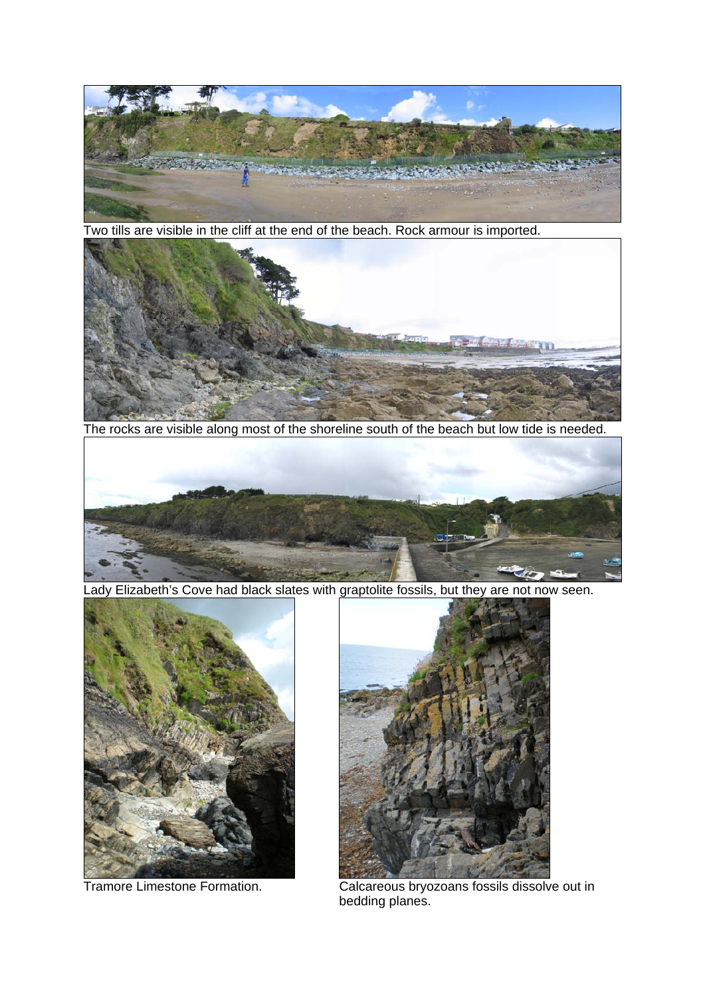

Two tills are visible in the cliff at the end of the beach. Rock armour is imported.



The rocks are visible along most of the shoreline south of the beach but low tide is needed.



Lady Elizabeth's Cove had black slates with graptolite fossils, but they are not now seen.





 Tramore Limestone Formation. Calcareous bryozoans fossils dissolve out in bedding planes.